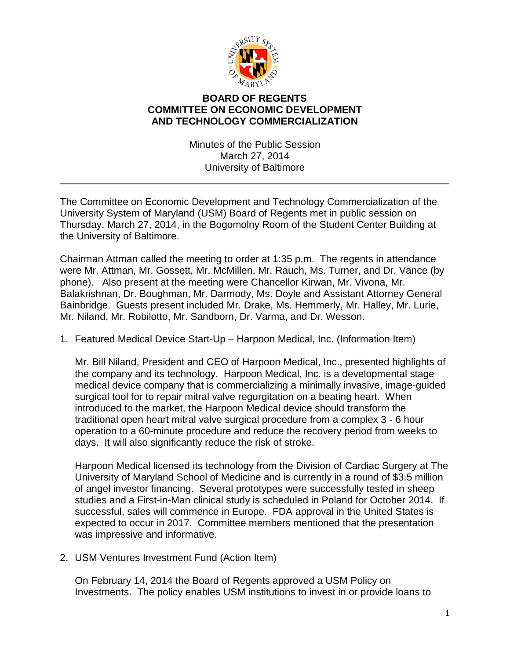

## **BOARD OF REGENTS COMMITTEE ON ECONOMIC DEVELOPMENT AND TECHNOLOGY COMMERCIALIZATION**

Minutes of the Public Session March 27, 2014 University of Baltimore

\_\_\_\_\_\_\_\_\_\_\_\_\_\_\_\_\_\_\_\_\_\_\_\_\_\_\_\_\_\_\_\_\_\_\_\_\_\_\_\_\_\_\_\_\_\_\_\_\_\_\_\_\_\_\_\_\_\_\_\_\_\_\_\_\_\_\_\_\_\_

The Committee on Economic Development and Technology Commercialization of the University System of Maryland (USM) Board of Regents met in public session on Thursday, March 27, 2014, in the Bogomolny Room of the Student Center Building at the University of Baltimore.

Chairman Attman called the meeting to order at 1:35 p.m. The regents in attendance were Mr. Attman, Mr. Gossett, Mr. McMillen, Mr. Rauch, Ms. Turner, and Dr. Vance (by phone). Also present at the meeting were Chancellor Kirwan, Mr. Vivona, Mr. Balakrishnan, Dr. Boughman, Mr. Darmody, Ms. Doyle and Assistant Attorney General Bainbridge. Guests present included Mr. Drake, Ms. Hemmerly, Mr. Halley, Mr. Lurie, Mr. Niland, Mr. Robilotto, Mr. Sandborn, Dr. Varma, and Dr. Wesson.

1. Featured Medical Device Start-Up – Harpoon Medical, Inc. (Information Item)

Mr. Bill Niland, President and CEO of Harpoon Medical, Inc., presented highlights of the company and its technology. Harpoon Medical, Inc. is a developmental stage medical device company that is commercializing a minimally invasive, image-guided surgical tool for to repair mitral valve regurgitation on a beating heart. When introduced to the market, the Harpoon Medical device should transform the traditional open heart mitral valve surgical procedure from a complex 3 - 6 hour operation to a 60-minute procedure and reduce the recovery period from weeks to days. It will also significantly reduce the risk of stroke.

Harpoon Medical licensed its technology from the Division of Cardiac Surgery at The University of Maryland School of Medicine and is currently in a round of \$3.5 million of angel investor financing. Several prototypes were successfully tested in sheep studies and a First-in-Man clinical study is scheduled in Poland for October 2014. If successful, sales will commence in Europe. FDA approval in the United States is expected to occur in 2017. Committee members mentioned that the presentation was impressive and informative.

2. USM Ventures Investment Fund (Action Item)

On February 14, 2014 the Board of Regents approved a USM Policy on Investments. The policy enables USM institutions to invest in or provide loans to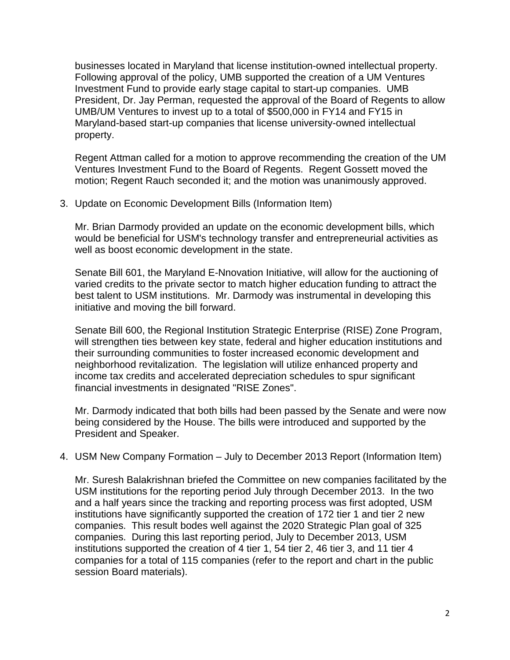businesses located in Maryland that license institution-owned intellectual property. Following approval of the policy, UMB supported the creation of a UM Ventures Investment Fund to provide early stage capital to start-up companies. UMB President, Dr. Jay Perman, requested the approval of the Board of Regents to allow UMB/UM Ventures to invest up to a total of \$500,000 in FY14 and FY15 in Maryland-based start-up companies that license university-owned intellectual property.

Regent Attman called for a motion to approve recommending the creation of the UM Ventures Investment Fund to the Board of Regents. Regent Gossett moved the motion; Regent Rauch seconded it; and the motion was unanimously approved.

3. Update on Economic Development Bills (Information Item)

Mr. Brian Darmody provided an update on the economic development bills, which would be beneficial for USM's technology transfer and entrepreneurial activities as well as boost economic development in the state.

Senate Bill 601, the Maryland E-Nnovation Initiative, will allow for the auctioning of varied credits to the private sector to match higher education funding to attract the best talent to USM institutions. Mr. Darmody was instrumental in developing this initiative and moving the bill forward.

Senate Bill 600, the Regional Institution Strategic Enterprise (RISE) Zone Program, will strengthen ties between key state, federal and higher education institutions and their surrounding communities to foster increased economic development and neighborhood revitalization. The legislation will utilize enhanced property and income tax credits and accelerated depreciation schedules to spur significant financial investments in designated "RISE Zones".

Mr. Darmody indicated that both bills had been passed by the Senate and were now being considered by the House. The bills were introduced and supported by the President and Speaker.

4. USM New Company Formation – July to December 2013 Report (Information Item)

Mr. Suresh Balakrishnan briefed the Committee on new companies facilitated by the USM institutions for the reporting period July through December 2013. In the two and a half years since the tracking and reporting process was first adopted, USM institutions have significantly supported the creation of 172 tier 1 and tier 2 new companies. This result bodes well against the 2020 Strategic Plan goal of 325 companies. During this last reporting period, July to December 2013, USM institutions supported the creation of 4 tier 1, 54 tier 2, 46 tier 3, and 11 tier 4 companies for a total of 115 companies (refer to the report and chart in the public session Board materials).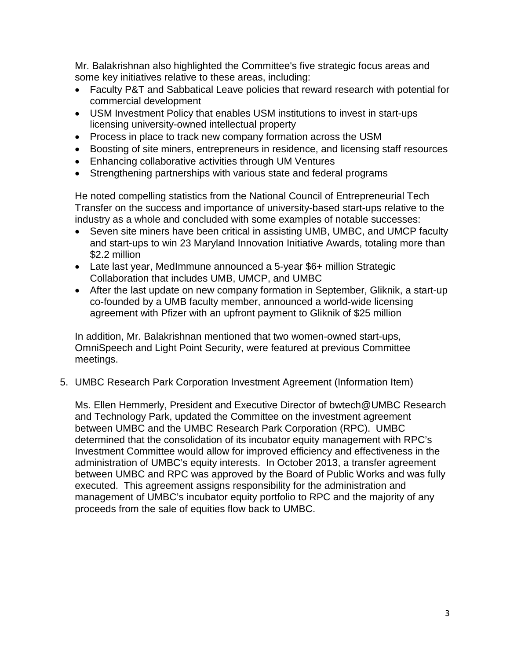Mr. Balakrishnan also highlighted the Committee's five strategic focus areas and some key initiatives relative to these areas, including:

- Faculty P&T and Sabbatical Leave policies that reward research with potential for commercial development
- USM Investment Policy that enables USM institutions to invest in start-ups licensing university-owned intellectual property
- Process in place to track new company formation across the USM
- Boosting of site miners, entrepreneurs in residence, and licensing staff resources
- Enhancing collaborative activities through UM Ventures
- Strengthening partnerships with various state and federal programs

He noted compelling statistics from the National Council of Entrepreneurial Tech Transfer on the success and importance of university-based start-ups relative to the industry as a whole and concluded with some examples of notable successes:

- Seven site miners have been critical in assisting UMB, UMBC, and UMCP faculty and start-ups to win 23 Maryland Innovation Initiative Awards, totaling more than \$2.2 million
- Late last year, MedImmune announced a 5-year \$6+ million Strategic Collaboration that includes UMB, UMCP, and UMBC
- After the last update on new company formation in September, Gliknik, a start-up co-founded by a UMB faculty member, announced a world-wide licensing agreement with Pfizer with an upfront payment to Gliknik of \$25 million

In addition, Mr. Balakrishnan mentioned that two women-owned start-ups, OmniSpeech and Light Point Security, were featured at previous Committee meetings.

5. UMBC Research Park Corporation Investment Agreement (Information Item)

Ms. Ellen Hemmerly, President and Executive Director of bwtech@UMBC Research and Technology Park, updated the Committee on the investment agreement between UMBC and the UMBC Research Park Corporation (RPC). UMBC determined that the consolidation of its incubator equity management with RPC's Investment Committee would allow for improved efficiency and effectiveness in the administration of UMBC's equity interests. In October 2013, a transfer agreement between UMBC and RPC was approved by the Board of Public Works and was fully executed. This agreement assigns responsibility for the administration and management of UMBC's incubator equity portfolio to RPC and the majority of any proceeds from the sale of equities flow back to UMBC.